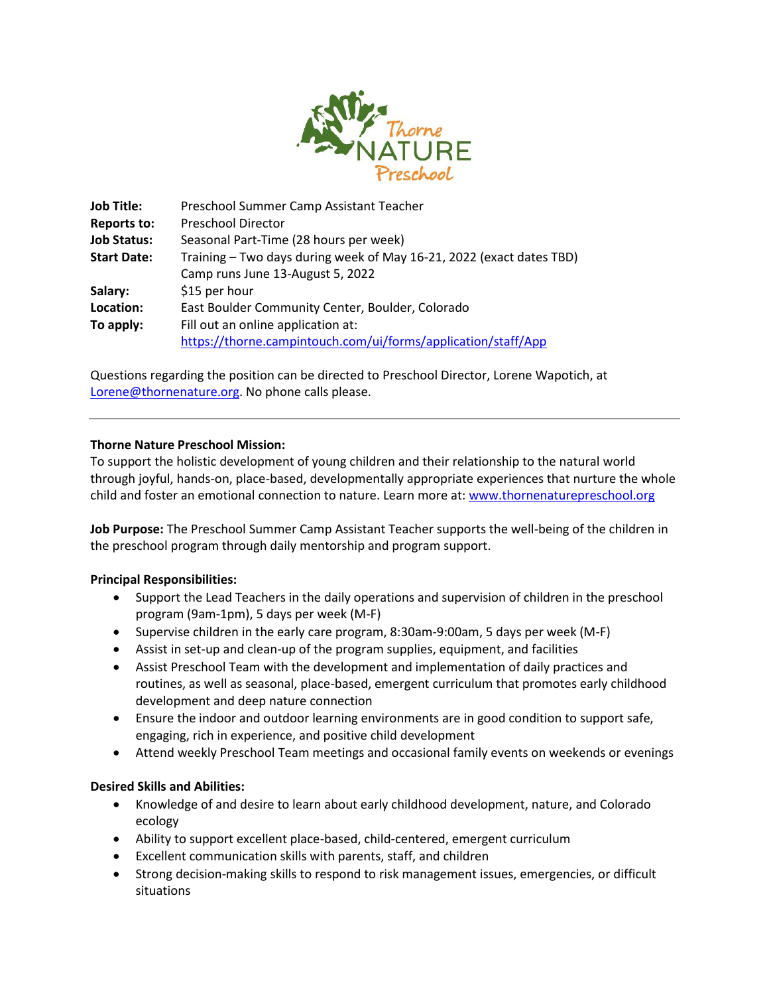

| <b>Job Title:</b>  | Preschool Summer Camp Assistant Teacher                              |
|--------------------|----------------------------------------------------------------------|
| <b>Reports to:</b> | <b>Preschool Director</b>                                            |
| <b>Job Status:</b> | Seasonal Part-Time (28 hours per week)                               |
| <b>Start Date:</b> | Training - Two days during week of May 16-21, 2022 (exact dates TBD) |
|                    | Camp runs June 13-August 5, 2022                                     |
| Salary:            | \$15 per hour                                                        |
| Location:          | East Boulder Community Center, Boulder, Colorado                     |
| To apply:          | Fill out an online application at:                                   |
|                    | https://thorne.campintouch.com/ui/forms/application/staff/App        |

Questions regarding the position can be directed to Preschool Director, Lorene Wapotich, at [Lorene@thornenature.org.](mailto:Lorene@thornenature.org) No phone calls please.

# **Thorne Nature Preschool Mission:**

To support the holistic development of young children and their relationship to the natural world through joyful, hands-on, place-based, developmentally appropriate experiences that nurture the whole child and foster an emotional connection to nature. Learn more at: [www.thornenaturepreschool.org](http://www.thornenaturepreschool.org/)

**Job Purpose:** The Preschool Summer Camp Assistant Teacher supports the well-being of the children in the preschool program through daily mentorship and program support.

### **Principal Responsibilities:**

- Support the Lead Teachers in the daily operations and supervision of children in the preschool program (9am-1pm), 5 days per week (M-F)
- Supervise children in the early care program, 8:30am-9:00am, 5 days per week (M-F)
- Assist in set-up and clean-up of the program supplies, equipment, and facilities
- Assist Preschool Team with the development and implementation of daily practices and routines, as well as seasonal, place-based, emergent curriculum that promotes early childhood development and deep nature connection
- Ensure the indoor and outdoor learning environments are in good condition to support safe, engaging, rich in experience, and positive child development
- Attend weekly Preschool Team meetings and occasional family events on weekends or evenings

# **Desired Skills and Abilities:**

- Knowledge of and desire to learn about early childhood development, nature, and Colorado ecology
- Ability to support excellent place-based, child-centered, emergent curriculum
- Excellent communication skills with parents, staff, and children
- Strong decision-making skills to respond to risk management issues, emergencies, or difficult situations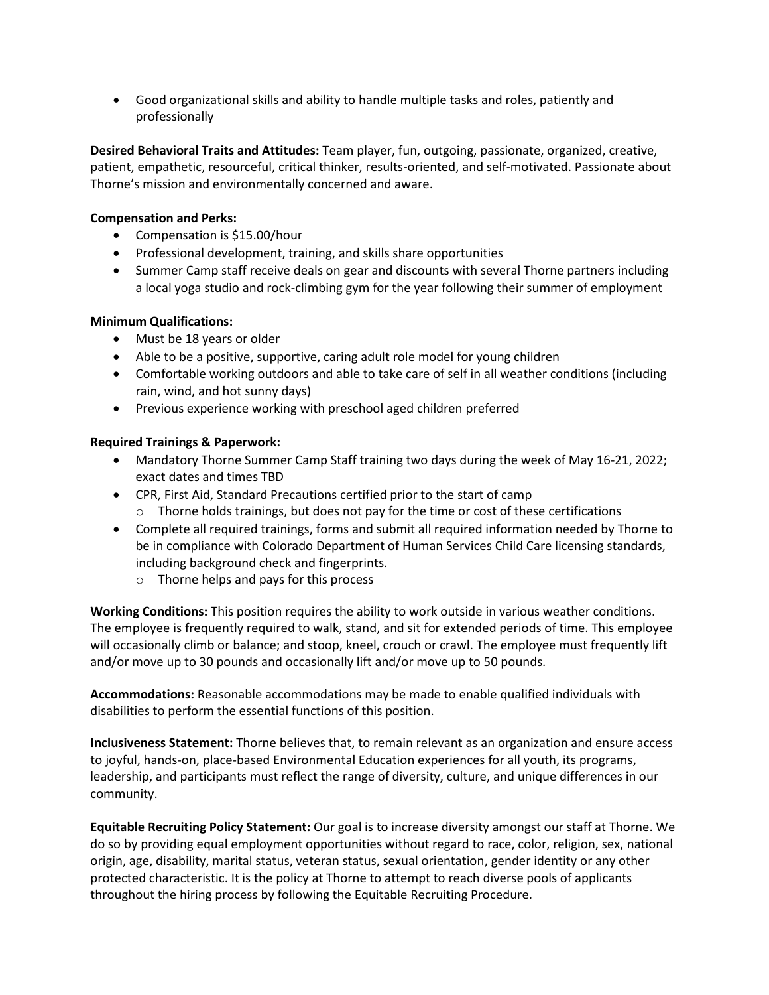• Good organizational skills and ability to handle multiple tasks and roles, patiently and professionally

**Desired Behavioral Traits and Attitudes:** Team player, fun, outgoing, passionate, organized, creative, patient, empathetic, resourceful, critical thinker, results-oriented, and self-motivated. Passionate about Thorne's mission and environmentally concerned and aware.

# **Compensation and Perks:**

- Compensation is \$15.00/hour
- Professional development, training, and skills share opportunities
- Summer Camp staff receive deals on gear and discounts with several Thorne partners including a local yoga studio and rock-climbing gym for the year following their summer of employment

# **Minimum Qualifications:**

- Must be 18 years or older
- Able to be a positive, supportive, caring adult role model for young children
- Comfortable working outdoors and able to take care of self in all weather conditions (including rain, wind, and hot sunny days)
- Previous experience working with preschool aged children preferred

# **Required Trainings & Paperwork:**

- Mandatory Thorne Summer Camp Staff training two days during the week of May 16-21, 2022; exact dates and times TBD
- CPR, First Aid, Standard Precautions certified prior to the start of camp  $\circ$  Thorne holds trainings, but does not pay for the time or cost of these certifications
- Complete all required trainings, forms and submit all required information needed by Thorne to be in compliance with Colorado Department of Human Services Child Care licensing standards, including background check and fingerprints.
	- o Thorne helps and pays for this process

**Working Conditions:** This position requires the ability to work outside in various weather conditions. The employee is frequently required to walk, stand, and sit for extended periods of time. This employee will occasionally climb or balance; and stoop, kneel, crouch or crawl. The employee must frequently lift and/or move up to 30 pounds and occasionally lift and/or move up to 50 pounds.

**Accommodations:** Reasonable accommodations may be made to enable qualified individuals with disabilities to perform the essential functions of this position.

**Inclusiveness Statement:** Thorne believes that, to remain relevant as an organization and ensure access to joyful, hands-on, place-based Environmental Education experiences for all youth, its programs, leadership, and participants must reflect the range of diversity, culture, and unique differences in our community.

**Equitable Recruiting Policy Statement:** Our goal is to increase diversity amongst our staff at Thorne. We do so by providing equal employment opportunities without regard to race, color, religion, sex, national origin, age, disability, marital status, veteran status, sexual orientation, gender identity or any other protected characteristic. It is the policy at Thorne to attempt to reach diverse pools of applicants throughout the hiring process by following the Equitable Recruiting Procedure.